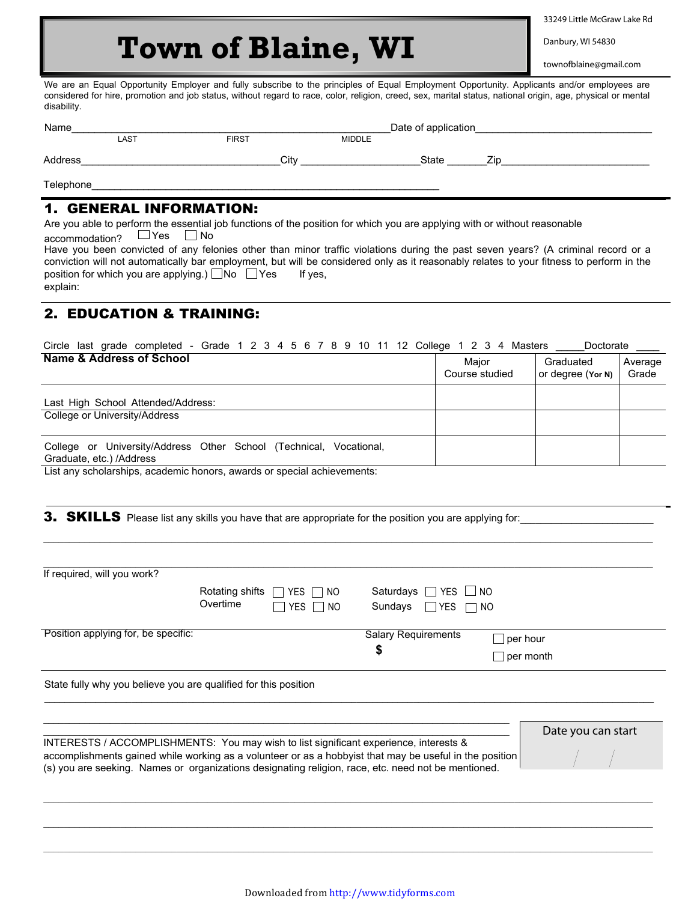33249 Little McGraw Lake Rd

## townofblaine@gmail.com

 **Town of Blaine, WI** 

| Name      |      |              | Date of application |       |     |
|-----------|------|--------------|---------------------|-------|-----|
|           | LAST | <b>FIRST</b> | <b>MIDDLE</b>       |       |     |
| Address   |      | City         |                     | State | 7in |
| Telephone |      |              |                     |       |     |

## 1. GENERAL INFORMATION:

## 2. EDUCATION & TRAINING:

| Name & Address of School                                                                          | Maior<br>Course studied | Graduated<br>or degree (Yor N) | Average<br>Grade |
|---------------------------------------------------------------------------------------------------|-------------------------|--------------------------------|------------------|
| Last High School Attended/Address:                                                                |                         |                                |                  |
| College or University/Address                                                                     |                         |                                |                  |
| University/Address Other School (Technical, Vocational,<br>College or<br>Graduate, etc.) /Address |                         |                                |                  |

|                                                                                                                                                                                                                                                                                                                                                                                                                                                                                                                                                                                 |                             | <b>Town of Blaine, WI</b>                |                                  |            |                              | Danbury, WI 54830<br>townofblaine@gmail.com |                  |
|---------------------------------------------------------------------------------------------------------------------------------------------------------------------------------------------------------------------------------------------------------------------------------------------------------------------------------------------------------------------------------------------------------------------------------------------------------------------------------------------------------------------------------------------------------------------------------|-----------------------------|------------------------------------------|----------------------------------|------------|------------------------------|---------------------------------------------|------------------|
| We are an Equal Opportunity Employer and fully subscribe to the principles of Equal Employment Opportunity. Applicants and/or employees are<br>considered for hire, promotion and job status, without regard to race, color, religion, creed, sex, marital status, national origin, age, physical or mental<br>disability.                                                                                                                                                                                                                                                      |                             |                                          |                                  |            |                              |                                             |                  |
| Name LAST                                                                                                                                                                                                                                                                                                                                                                                                                                                                                                                                                                       |                             | EIRST MIDDLE                             |                                  |            |                              |                                             |                  |
|                                                                                                                                                                                                                                                                                                                                                                                                                                                                                                                                                                                 |                             |                                          |                                  |            |                              |                                             |                  |
| Telephone and the contract of the contract of the contract of the contract of the contract of the contract of the contract of the contract of the contract of the contract of the contract of the contract of the contract of                                                                                                                                                                                                                                                                                                                                                   |                             |                                          |                                  |            |                              |                                             |                  |
| <b>1. GENERAL INFORMATION:</b><br>Are you able to perform the essential job functions of the position for which you are applying with or without reasonable<br>$\overline{\text{accommdation?}}$ $\Box$ Yes $\Box$ No<br>Have you been convicted of any felonies other than minor traffic violations during the past seven years? (A criminal record or a<br>conviction will not automatically bar employment, but will be considered only as it reasonably relates to your fitness to perform in the<br>position for which you are applying.) $\Box$ No $\Box$ Yes<br>explain: |                             | If yes,                                  |                                  |            |                              |                                             |                  |
| <b>2. EDUCATION &amp; TRAINING:</b>                                                                                                                                                                                                                                                                                                                                                                                                                                                                                                                                             |                             |                                          |                                  |            |                              |                                             |                  |
| Circle last grade completed - Grade 1 2 3 4 5 6 7 8 9 10 11 12 College 1 2 3 4 Masters ____<br><b>Name &amp; Address of School</b>                                                                                                                                                                                                                                                                                                                                                                                                                                              |                             |                                          |                                  |            | Major<br>Course studied      | Doctorate<br>Graduated<br>or degree (Yor N) | Average<br>Grade |
| Last High School Attended/Address:                                                                                                                                                                                                                                                                                                                                                                                                                                                                                                                                              |                             |                                          |                                  |            |                              |                                             |                  |
| College or University/Address                                                                                                                                                                                                                                                                                                                                                                                                                                                                                                                                                   |                             |                                          |                                  |            |                              |                                             |                  |
| College or University/Address Other School (Technical, Vocational,<br>Graduate, etc.) /Address<br>List any scholarships, academic honors, awards or special achievements:                                                                                                                                                                                                                                                                                                                                                                                                       |                             |                                          |                                  |            |                              |                                             |                  |
| <b>3. SKILLS</b> Please list any skills you have that are appropriate for the position you are applying for:                                                                                                                                                                                                                                                                                                                                                                                                                                                                    |                             |                                          |                                  |            |                              |                                             |                  |
| If required, will you work?                                                                                                                                                                                                                                                                                                                                                                                                                                                                                                                                                     | Rotating shifts<br>Overtime | YES I INO<br>YES<br>NO.                  | Saturdays $\Box$ YES<br>Sundays  | $\Box$ YES | NO.<br>NO.                   |                                             |                  |
| Position applying for, be specific:                                                                                                                                                                                                                                                                                                                                                                                                                                                                                                                                             |                             |                                          | <b>Salary Requirements</b><br>\$ |            | $\Box$ per hour<br>per month |                                             |                  |
| State fully why you believe you are qualified for this position                                                                                                                                                                                                                                                                                                                                                                                                                                                                                                                 |                             |                                          |                                  |            |                              |                                             |                  |
| INTERESTS / ACCOMPLISHMENTS: You may wish to list significant experience, interests &<br>accomplishments gained while working as a volunteer or as a hobbyist that may be useful in the position<br>(s) you are seeking. Names or organizations designating religion, race, etc. need not be mentioned.                                                                                                                                                                                                                                                                         |                             |                                          |                                  |            |                              | Date you can start                          |                  |
|                                                                                                                                                                                                                                                                                                                                                                                                                                                                                                                                                                                 |                             |                                          |                                  |            |                              |                                             |                  |
|                                                                                                                                                                                                                                                                                                                                                                                                                                                                                                                                                                                 |                             | Downloaded from http://www.tidyforms.com |                                  |            |                              |                                             |                  |